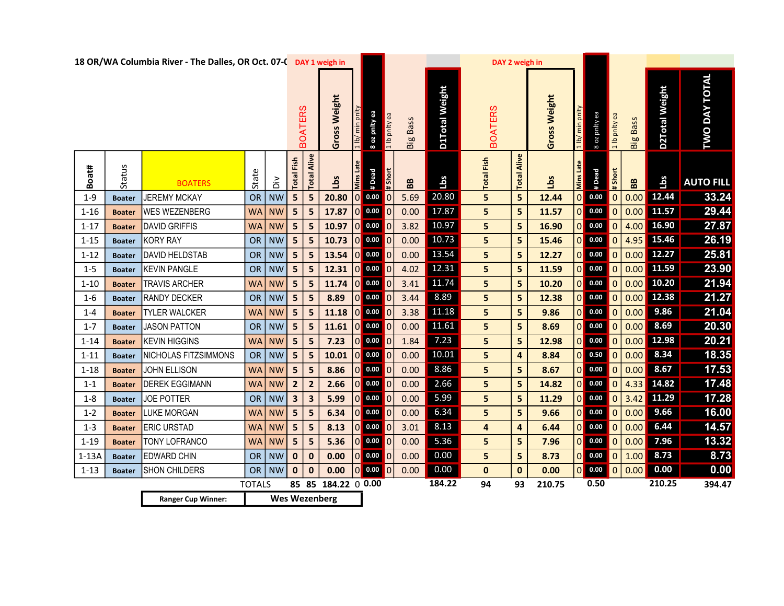|          |               | 18 OR/WA Columbia River - The Dalles, OR Oct. 07-C DAY 1 weigh in |               |                             |                         |                         |                      |                  |                               |                |                   |                       | DAY 2 weigh in    |                         |              |                            |                                                                      |                            |          |                |                         |
|----------|---------------|-------------------------------------------------------------------|---------------|-----------------------------|-------------------------|-------------------------|----------------------|------------------|-------------------------------|----------------|-------------------|-----------------------|-------------------|-------------------------|--------------|----------------------------|----------------------------------------------------------------------|----------------------------|----------|----------------|-------------------------|
|          |               |                                                                   |               |                             |                         | <b>BOATERS</b>          | Gross Weight         | $\sqrt{q}$   T   | 8 oz pnity ea                 |                | <b>Big Bass</b>   | <b>D1Total Weight</b> | <b>BOATERS</b>    |                         | Gross Weight | min pnlt<br>$\frac{1}{10}$ | 8 oz pnity ea                                                        | 1 lb pnlty ea              | Big Bass | D2Total Weight | DAY TOTAL<br><b>DWL</b> |
| Boat#    | Status        | <b>BOATERS</b>                                                    | State         | ăά                          | Fish<br><b>Total</b>    | <b>Total Alive</b>      | Lbs                  | <b>Mins Late</b> | #Dead                         | # Short        | ${\bf B} {\bf B}$ | Lbs                   | <b>Total Fish</b> | <b>Total Alive</b>      | Lbs          | Mins Late                  | #Dead                                                                | $\frac{1}{15}$             | BB       | Lbs            | <b>AUTO FILL</b>        |
| $1 - 9$  | <b>Boater</b> | <b>JEREMY MCKAY</b>                                               | <b>OR</b>     | $\overline{\phantom{a}}$ NW | 5 <sub>1</sub>          | $5\phantom{.0}$         | 20.80                | $\mathbf 0$      | 0.00                          | lo             | 5.69              | 20.80                 | 5                 | $5\phantom{1}$          | 12.44        |                            | $\begin{array}{ c c } \hline \textbf{0} & \textbf{0.00} \end{array}$ | $\mathsf{I}$ 0             | 0.00     | 12.44          | 33.24                   |
| $1 - 16$ | <b>Boater</b> | <b>WES WEZENBERG</b>                                              | <b>WA</b>     | NW                          | $5\phantom{.0}$         | 5                       | 17.87                | $\bf{0}$         | 0.00                          | O              | 0.00              | 17.87                 | 5                 | 5                       | 11.57        |                            | $\begin{array}{ c c } \hline \textbf{0} & \textbf{0.00} \end{array}$ | $\overline{\phantom{a}}$ 0 | 0.00     | 11.57          | 29.44                   |
| $1 - 17$ | <b>Boater</b> | DAVID GRIFFIS                                                     | <b>WA</b>     | <b>NW</b>                   | 5 <sub>1</sub>          | $5\phantom{1}$          | 10.97                | $\overline{0}$   | 0.00                          | $\blacksquare$ | 3.82              | 10.97                 | 5                 | 5                       | 16.90        | 0                          | 0.00                                                                 | $\overline{0}$             | 4.00     | 16.90          | 27.87                   |
| $1 - 15$ | <b>Boater</b> | KORY RAY                                                          | <b>OR</b>     | NW                          | 5                       | 5                       | 10.73                |                  | 0 0.00 0                      |                | 0.00              | 10.73                 | 5                 | 5                       | 15.46        |                            | $0$ 0.00                                                             | $\blacksquare$             | 4.95     | 15.46          | 26.19                   |
| $1 - 12$ | <b>Boater</b> | DAVID HELDSTAB                                                    |               | OR NW                       | 5                       | 5                       | 13.54                | $\mathbf 0$      | 0.00                          |                | 0.00              | 13.54                 | 5                 | 5                       | 12.27        |                            | $0$ 0.00                                                             | $\overline{0}$             | 0.00     | 12.27          | 25.81                   |
| $1 - 5$  | <b>Boater</b> | <b>KEVIN PANGLE</b>                                               | OR            | NW                          | 5 <sub>1</sub>          | 5 <sub>5</sub>          | 12.31                | $\mathbf 0$      | 0.00                          |                | 4.02              | 12.31                 | 5                 | 5                       | 11.59        |                            | $0$ 0.00                                                             | $\overline{0}$             | 0.00     | 11.59          | 23.90                   |
| $1 - 10$ | <b>Boater</b> | <b>TRAVIS ARCHER</b>                                              | <b>WA</b>     | $\overline{\phantom{a}}$ NW | 5                       | 5                       | 11.74                | $\mathbf 0$      | 0.00                          | 10             | 3.41              | 11.74                 | 5                 | 5                       | 10.20        |                            | $0$ 0.00                                                             | $\overline{\phantom{a}}$ 0 | 0.00     | 10.20          | 21.94                   |
| $1-6$    | <b>Boater</b> | <b>RANDY DECKER</b>                                               | <b>OR</b>     | NW                          | 5                       | 5                       | 8.89                 | $\mathbf 0$      | 0.00                          | 10             | 3.44              | 8.89                  | 5                 | 5                       | 12.38        | 0                          | 0.00                                                                 | 0                          | 0.00     | 12.38          | 21.27                   |
| $1 - 4$  | <b>Boater</b> | <b>TYLER WALCKER</b>                                              | <b>WA</b>     | NW                          | 5 <sub>1</sub>          | $5\phantom{.0}$         | 11.18                | $\mathbf 0$      | 0.00                          | 10             | 3.38              | 11.18                 | 5                 | 5                       | 9.86         |                            | $0$ 0.00 0                                                           |                            | 0.00     | 9.86           | 21.04                   |
| $1 - 7$  | <b>Boater</b> | <b>JASON PATTON</b>                                               | <b>OR</b>     | NW                          | 5                       | 5                       | 11.61                | $\mathbf{0}$     | 0.00                          |                | 0.00              | 11.61                 | 5                 | 5                       | 8.69         |                            | $0$ 0.00                                                             | $\overline{0}$             | 0.00     | 8.69           | 20.30                   |
| $1 - 14$ | <b>Boater</b> | <b>KEVIN HIGGINS</b>                                              | <b>WA</b>     | <b>NW</b>                   | $5\phantom{.0}$         | 5                       | 7.23                 | 0                | 0.00                          | O              | 1.84              | 7.23                  | 5                 | 5                       | 12.98        | $\overline{0}$             | 0.00                                                                 | $\mathbf{0}$               | 0.00     | 12.98          | 20.21                   |
| $1 - 11$ | <b>Boater</b> | NICHOLAS FITZSIMMONS                                              |               | OR NW                       | $5\phantom{a}$          | 5                       | 10.01                | $\overline{0}$   | $\overline{\phantom{0}}$ 0.00 | $\mathsf I$ 0  | 0.00              | 10.01                 | 5                 | $\overline{\mathbf{4}}$ | 8.84         |                            | $0$ 0.50 0                                                           |                            | 0.00     | 8.34           | 18.35                   |
| $1 - 18$ | <b>Boater</b> | JOHN ELLISON                                                      | <b>WA</b>     | <b>NW</b>                   | 5                       | 5                       | 8.86                 | $\mathbf 0$      | 0.00                          | Ю              | 0.00              | 8.86                  | 5                 | 5                       | 8.67         |                            | $0$ 0.00                                                             | $\overline{0}$             | 0.00     | 8.67           | 17.53                   |
| $1 - 1$  | <b>Boater</b> | <b>DEREK EGGIMANN</b>                                             | <b>WA</b>     | <b>NW</b>                   | $\overline{2}$          | $\overline{2}$          | 2.66                 | $\overline{0}$   | 0.00                          |                | 0.00              | 2.66                  | 5                 | 5                       | 14.82        |                            | $0$ 0.00                                                             | $\overline{0}$             | 4.33     | 14.82          | 17.48                   |
| $1 - 8$  | <b>Boater</b> | <b>JOE POTTER</b>                                                 | <b>OR</b>     | $\overline{\phantom{a}}$ NW | $\overline{\mathbf{3}}$ | $\overline{\mathbf{3}}$ | 5.99                 | $\overline{0}$   | 0.00                          | 10             | 0.00              | 5.99                  | 5                 | 5                       | 11.29        |                            | $0$ 0.00 0                                                           |                            | 3.42     | 11.29          | 17.28                   |
| $1 - 2$  | <b>Boater</b> | LUKE MORGAN                                                       | <b>WA</b>     | <b>NW</b>                   | 5 <sub>5</sub>          | 5                       | 6.34                 | $\overline{0}$   | 0.00                          | lo             | 0.00              | 6.34                  | 5                 | 5                       | 9.66         | 0                          | 0.00                                                                 | $\overline{0}$             | 0.00     | 9.66           | 16.00                   |
| $1 - 3$  | <b>Boater</b> | <b>ERIC URSTAD</b>                                                | <b>WA</b>     | <b>NW</b>                   | 5 <sub>5</sub>          | 5                       | 8.13                 | $\overline{0}$   | 0.00                          | 10             | 3.01              | 8.13                  | 4                 | $\overline{\mathbf{a}}$ | 6.44         |                            | $0$ 0.00 0                                                           |                            | 0.00     | 6.44           | 14.57                   |
| $1 - 19$ | <b>Boater</b> | TONY LOFRANCO                                                     | <b>WA</b>     | NW                          | $5\phantom{.0}$         | 5                       | 5.36                 | $\mathbf 0$      | 0.00                          |                | 0.00              | 5.36                  | 5                 | 5                       | 7.96         |                            | $\begin{array}{ c c } \hline \textbf{0} & \textbf{0.00} \end{array}$ | $\overline{\phantom{a}}$ 0 | 0.00     | 7.96           | 13.32                   |
| $1-13A$  | <b>Boater</b> | EDWARD CHIN                                                       | <b>OR</b>     | NW                          | $\mathbf 0$             | $\mathbf{0}$            | 0.00                 | $\Omega$         | 0.00                          |                | 0.00              | 0.00                  | 5                 | 5                       | 8.73         | $\Omega$                   | $0.00$ 0                                                             |                            | 1.00     | 8.73           | 8.73                    |
| $1 - 13$ | <b>Boater</b> | <b>SHON CHILDERS</b>                                              |               | OR NW                       | $\mathbf 0$             | $\mathbf{0}$            | 0.00                 | $\Omega$         | $0.00$ 0                      |                | 0.00              | 0.00                  | $\mathbf{0}$      | $\mathbf 0$             | 0.00         |                            | $0$ 0.00 0                                                           |                            | 0.00     | 0.00           | 0.00                    |
|          |               |                                                                   | <b>TOTALS</b> |                             |                         |                         | 85 85 184.22 0 0.00  |                  |                               |                |                   | 184.22                | 94                | 93                      | 210.75       |                            | 0.50                                                                 |                            |          | 210.25         | 394.47                  |
|          |               | <b>Ranger Cup Winner:</b>                                         |               |                             |                         |                         | <b>Wes Wezenberg</b> |                  |                               |                |                   |                       |                   |                         |              |                            |                                                                      |                            |          |                |                         |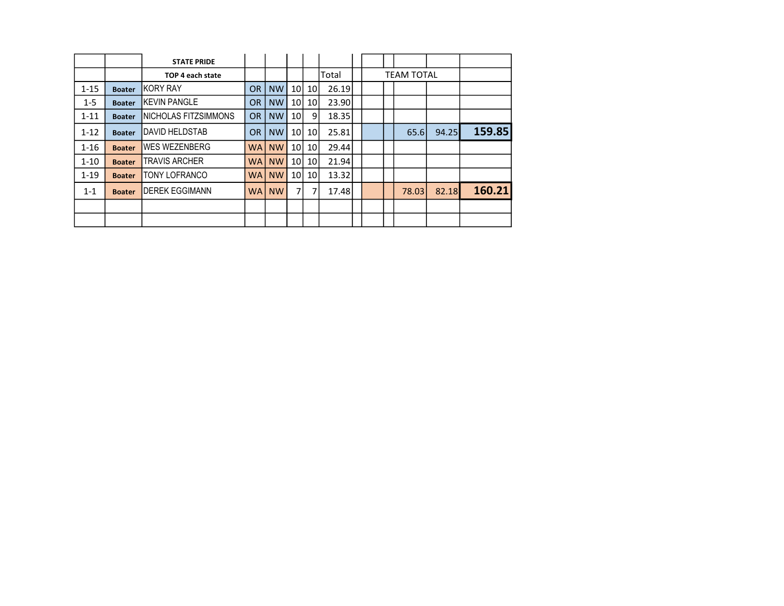|          |               | <b>STATE PRIDE</b>      |           |              |                 |                 |       |  |                   |       |        |
|----------|---------------|-------------------------|-----------|--------------|-----------------|-----------------|-------|--|-------------------|-------|--------|
|          |               | TOP 4 each state        |           |              |                 |                 | Total |  | <b>TEAM TOTAL</b> |       |        |
| $1 - 15$ | <b>Boater</b> | IKORY RAY               | <b>OR</b> | <b>NW</b>    | 10              | 10 <sup>1</sup> | 26.19 |  |                   |       |        |
| $1 - 5$  | <b>Boater</b> | <b>IKEVIN PANGLE</b>    | <b>OR</b> | <b>NW</b>    | 10              | 10 <sup>1</sup> | 23.90 |  |                   |       |        |
| $1 - 11$ | <b>Boater</b> | INICHOLAS FITZSIMMONS   | <b>OR</b> | <b>NW</b>    | 10 <sup>1</sup> | 9               | 18.35 |  |                   |       |        |
| $1 - 12$ | <b>Boater</b> | <b>I</b> DAVID HELDSTAB | <b>OR</b> | <b>NW</b>    | 10I             | 10              | 25.81 |  | 65.6              | 94.25 | 159.85 |
| $1 - 16$ | <b>Boater</b> | IWES WEZENBERG          | WAI       | <b>NW</b>    | 10              | 10 <sup>1</sup> | 29.44 |  |                   |       |        |
| $1 - 10$ | <b>Boater</b> | <b>TRAVIS ARCHER</b>    |           | <b>WAINW</b> | 10              | 10 <sup>1</sup> | 21.94 |  |                   |       |        |
| $1 - 19$ | <b>Boater</b> | <b>TONY LOFRANCO</b>    | <b>WA</b> | <b>NW</b>    | 10              | 10 <sup>1</sup> | 13.32 |  |                   |       |        |
| $1 - 1$  | <b>Boater</b> | <b>IDEREK EGGIMANN</b>  |           | <b>WAINW</b> | $\overline{7}$  | 7               | 17.48 |  | 78.03             | 82.18 | 160.21 |
|          |               |                         |           |              |                 |                 |       |  |                   |       |        |
|          |               |                         |           |              |                 |                 |       |  |                   |       |        |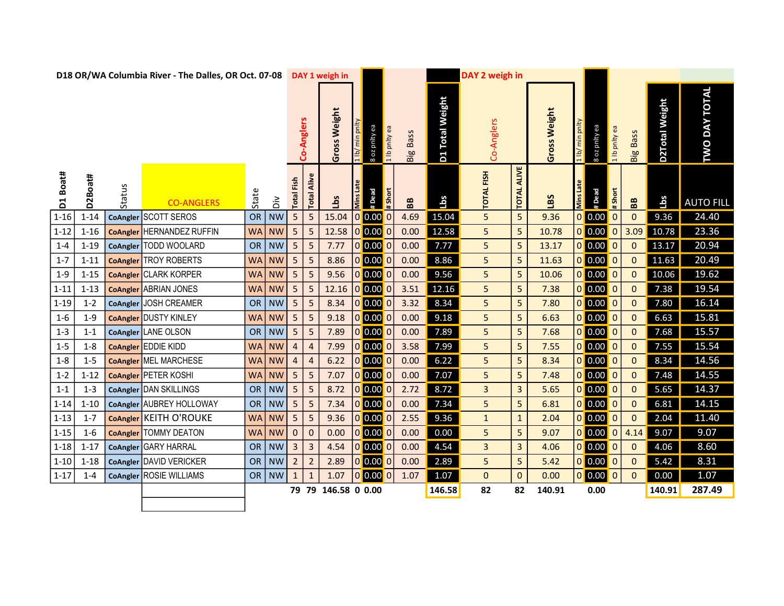|          |          |        | D18 OR/WA Columbia River - The Dalles, OR Oct. 07-08 |           |           |                   |                         | DAY 1 weigh in      |           |               |               |                 |                           | DAY 2 weigh in    |                    |              |                  |               |               |                 |                |                      |
|----------|----------|--------|------------------------------------------------------|-----------|-----------|-------------------|-------------------------|---------------------|-----------|---------------|---------------|-----------------|---------------------------|-------------------|--------------------|--------------|------------------|---------------|---------------|-----------------|----------------|----------------------|
|          |          |        |                                                      |           |           |                   | Co-Anglers              | Weight<br>Gross     | /ql t     | 8 oz pnity ea | 1 lb pnlty ea | <b>Big Bass</b> | <b>Total Weight</b><br>D1 | Co-Anglers        |                    | Gross Weight | 1 <sub>lb</sub>  | B oz pnlty ea | 1 lb pnity ea | <b>Big Bass</b> | D2Total Weight | <b>TWO DAY TOTAL</b> |
| D1 Boat# | D2Boat#  | Status | <b>CO-ANGLERS</b>                                    | State     | ăά        | <b>Total Fish</b> | Alive<br>Total          | Lbs                 | Mins Late | #Dead         | #Short        | BB              | <b>Lbs</b>                | <b>TOTAL FISH</b> | <b>TOTAL ALIVE</b> | LBS          | <b>Mins Late</b> | #Dead         | #Short        | BB              | Lbs            | <b>AUTO FILL</b>     |
| $1 - 16$ | $1 - 14$ |        | CoAngler SCOTT SEROS                                 | <b>OR</b> | <b>NW</b> | 5                 | $\sqrt{5}$              | 15.04               |           | 0 0.00 0      |               | 4.69            | 15.04                     | 5                 | 5                  | 9.36         |                  | $0$ 0.00      | 0             | $\Omega$        | 9.36           | 24.40                |
| $1 - 12$ | $1 - 16$ |        | <b>CoAngler HERNANDEZ RUFFIN</b>                     | WA        | <b>NW</b> | 5                 | 5                       | 12.58               |           | 0 0.00 0      |               | 0.00            | 12.58                     | 5                 | 5                  | 10.78        |                  | $0$ 0.00      | $\pmb{0}$     | 3.09            | 10.78          | 23.36                |
| $1 - 4$  | $1 - 19$ |        | CoAngler TODD WOOLARD                                | OR        | <b>NW</b> | 5                 | 5                       | 7.77                |           | 0 0.00 0      |               | 0.00            | 7.77                      | 5                 | 5                  | 13.17        |                  |               | $\bf{0}$      | $\mathbf 0$     | 13.17          | 20.94                |
| $1 - 7$  | $1 - 11$ |        | <b>CoAngler</b> TROY ROBERTS                         | <b>WA</b> | <b>NW</b> | 5                 | 5                       | 8.86                |           | 0 0.00 0      |               | 0.00            | 8.86                      | 5                 | 5                  | 11.63        |                  | $0$ 0.00 0    |               | $\Omega$        | 11.63          | 20.49                |
| $1 - 9$  | $1 - 15$ |        | <b>CoAngler CLARK KORPER</b>                         | <b>WA</b> | <b>NW</b> | 5                 | 5                       | 9.56                |           | 0 0.00 0      |               | 0.00            | 9.56                      | 5                 | 5                  | 10.06        |                  | $0$ 0.00 0    |               | $\mathbf{0}$    | 10.06          | 19.62                |
| $1 - 11$ | $1 - 13$ |        | <b>CoAngler ABRIAN JONES</b>                         | <b>WA</b> | <b>NW</b> | 5                 | 5                       | 12.16               |           | 0 0.00 0      |               | 3.51            | 12.16                     | 5                 | 5                  | 7.38         |                  | $0$ 0.00 0    |               | $\mathbf{0}$    | 7.38           | 19.54                |
| $1 - 19$ | $1 - 2$  |        | CoAngler JOSH CREAMER                                |           | OR   NW   | 5                 | 5                       | 8.34                |           | $0$ 0.00 0    |               | 3.32            | 8.34                      | 5                 | 5                  | 7.80         |                  | $0$ 0.00 0    |               | $\mathbf 0$     | 7.80           | 16.14                |
| $1 - 6$  | $1 - 9$  |        | <b>CoAngler DUSTY KINLEY</b>                         | WA        | <b>NW</b> | 5 <sub>5</sub>    | 5                       | 9.18                |           | 0 0.00 0      |               | 0.00            | 9.18                      | 5                 | 5                  | 6.63         |                  | $0$ 0.00 0    |               | $\mathbf 0$     | 6.63           | 15.81                |
| $1 - 3$  | $1 - 1$  |        | CoAngler LANE OLSON                                  |           | OR   NW   | 5                 | 5                       | 7.89                |           | 0 0.00 0      |               | 0.00            | 7.89                      | 5                 | 5                  | 7.68         |                  | $0$ 0.00 0    |               | $\overline{0}$  | 7.68           | 15.57                |
| $1-5$    | $1 - 8$  |        | CoAngler EDDIE KIDD                                  | <b>WA</b> | <b>NW</b> | $\overline{a}$    | $\overline{4}$          | 7.99                |           | 0 0.00 0      |               | 3.58            | 7.99                      | 5                 | 5                  | 7.55         |                  | $0$ 0.00 0    |               | $\mathbf 0$     | 7.55           | 15.54                |
| $1 - 8$  | $1 - 5$  |        | <b>CoAngler MEL MARCHESE</b>                         | WA        | <b>NW</b> | $\overline{a}$    | $\overline{4}$          | 6.22                |           | 0 0.00 0      |               | 0.00            | 6.22                      | 5                 | 5                  | 8.34         |                  | $0$ 0.00 0    |               | $\Omega$        | 8.34           | 14.56                |
| $1 - 2$  | $1 - 12$ |        | CoAngler PETER KOSHI                                 | WA        | <b>NW</b> | 5 <sub>5</sub>    | $\overline{\mathbf{5}}$ | 7.07                |           | 0 0.00 0      |               | 0.00            | 7.07                      | 5                 | 5                  | 7.48         |                  | $0$ 0.00 0    |               | $\mathbf{0}$    | 7.48           | 14.55                |
| $1 - 1$  | $1 - 3$  |        | CoAngler DAN SKILLINGS                               |           | OR   NW   | 5                 | 5                       | 8.72                |           | 0 0.00 0      |               | 2.72            | 8.72                      | $\mathbf{3}$      | 3                  | 5.65         |                  | $0$ 0.00 0    |               | $\Omega$        | 5.65           | 14.37                |
| $1 - 14$ | $1 - 10$ |        | CoAngler AUBREY HOLLOWAY                             |           | OR   NW   | 5                 | 5                       | 7.34                |           | 0 0.00 0      |               | 0.00            | 7.34                      | 5                 | 5                  | 6.81         |                  | $0$ 0.00 0    |               | $\mathbf{0}$    | 6.81           | 14.15                |
| $1 - 13$ | $1 - 7$  |        | CoAngler KEITH O'ROUKE                               | WA        | <b>NW</b> | 5                 | 5                       | 9.36                |           | 0 0.00 0      |               | 2.55            | 9.36                      | $\mathbf{1}$      | $\mathbf{1}$       | 2.04         |                  | $0$ 0.00 0    |               | $\Omega$        | 2.04           | 11.40                |
| $1 - 15$ | $1 - 6$  |        | <b>CoAngler TOMMY DEATON</b>                         | WA        | <b>NW</b> | $\mathbf{0}$      | $\mathbf 0$             | 0.00                |           | 0 0.00 0      |               | 0.00            | 0.00                      | 5                 | 5                  | 9.07         |                  |               |               | 4.14            | 9.07           | 9.07                 |
| $1 - 18$ | $1 - 17$ |        | CoAngler GARY HARRAL                                 |           | OR   NW   | 3                 | $\overline{3}$          | 4.54                |           | 0 0.00 0      |               | 0.00            | 4.54                      | $\mathbf{3}$      | 3                  | 4.06         |                  | $0$ 0.00 0    |               | $\mathbf 0$     | 4.06           | 8.60                 |
| $1 - 10$ | $1 - 18$ |        | CoAngler DAVID VERICKER                              |           | OR   NW   | $\overline{2}$    | $\overline{2}$          | 2.89                |           | 0 0.00 0      |               | 0.00            | 2.89                      | 5                 | 5                  | 5.42         |                  | $0$ 0.00 0    |               | $\mathbf 0$     | 5.42           | 8.31                 |
| $1 - 17$ | $1 - 4$  |        | CoAngler ROSIE WILLIAMS                              |           | OR   NW   | $\mathbf{1}$      |                         | 1.07                |           | 0 0.00 0      |               | 1.07            | 1.07                      | $\mathbf{0}$      | 0                  | 0.00         |                  | $0$ 0.00 0    |               | $\Omega$        | 0.00           | 1.07                 |
|          |          |        |                                                      |           |           |                   |                         | 79 79 146.58 0 0.00 |           |               |               |                 | 146.58                    | 82                | 82                 | 140.91       |                  | 0.00          |               |                 | 140.91         | 287.49               |